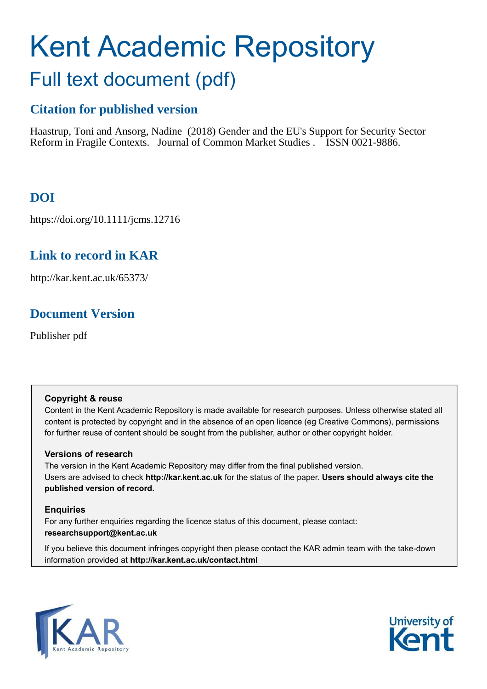# Kent Academic Repository Full text document (pdf)

# **Citation for published version**

Haastrup, Toni and Ansorg, Nadine (2018) Gender and the EU's Support for Security Sector Reform in Fragile Contexts. Journal of Common Market Studies . ISSN 0021-9886.

# **DOI**

https://doi.org/10.1111/jcms.12716

# **Link to record in KAR**

http://kar.kent.ac.uk/65373/

# **Document Version**

Publisher pdf

# **Copyright & reuse**

Content in the Kent Academic Repository is made available for research purposes. Unless otherwise stated all content is protected by copyright and in the absence of an open licence (eg Creative Commons), permissions for further reuse of content should be sought from the publisher, author or other copyright holder.

# **Versions of research**

The version in the Kent Academic Repository may differ from the final published version. Users are advised to check **http://kar.kent.ac.uk** for the status of the paper. **Users should always cite the published version of record.**

# **Enquiries**

For any further enquiries regarding the licence status of this document, please contact: **researchsupport@kent.ac.uk**

If you believe this document infringes copyright then please contact the KAR admin team with the take-down information provided at **http://kar.kent.ac.uk/contact.html**



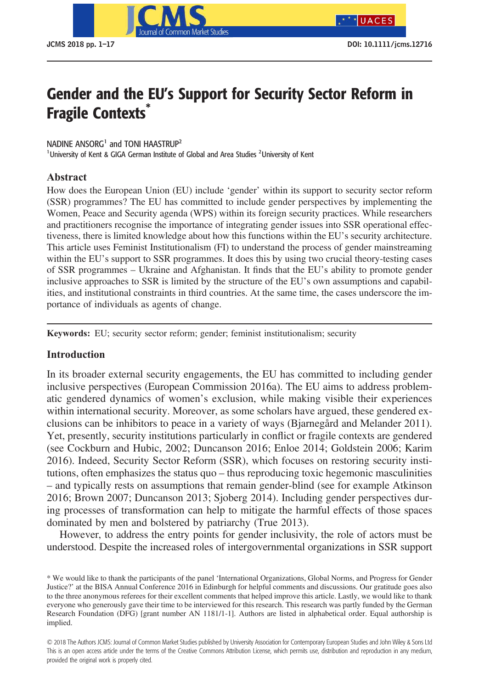

# Gender and the EU's Support for Security Sector Reform in **Fragile Contexts\***

NADINE ANSORG<sup>1</sup> and TONI HAASTRUP<sup>2</sup>

<sup>1</sup> University of Kent & GIGA German Institute of Global and Area Studies <sup>2</sup> University of Kent

## Abstract

How does the European Union (EU) include 'gender' within its support to security sector reform (SSR) programmes? The EU has committed to include gender perspectives by implementing the Women, Peace and Security agenda (WPS) within its foreign security practices. While researchers and practitioners recognise the importance of integrating gender issues into SSR operational effectiveness, there is limited knowledge about how this functions within the EU's security architecture. This article uses Feminist Institutionalism (FI) to understand the process of gender mainstreaming within the EU's support to SSR programmes. It does this by using two crucial theory-testing cases of SSR programmes – Ukraine and Afghanistan. It finds that the EU's ability to promote gender inclusive approaches to SSR is limited by the structure of the EU's own assumptions and capabilities, and institutional constraints in third countries. At the same time, the cases underscore the importance of individuals as agents of change.

Keywords: EU; security sector reform; gender; feminist institutionalism; security

## Introduction

In its broader external security engagements, the EU has committed to including gender inclusive perspectives (European Commission 2016a). The EU aims to address problematic gendered dynamics of women's exclusion, while making visible their experiences within international security. Moreover, as some scholars have argued, these gendered exclusions can be inhibitors to peace in a variety of ways (Bjarnegård and Melander 2011). Yet, presently, security institutions particularly in conflict or fragile contexts are gendered (see Cockburn and Hubic, 2002; Duncanson 2016; Enloe 2014; Goldstein 2006; Karim 2016). Indeed, Security Sector Reform (SSR), which focuses on restoring security institutions, often emphasizes the status quo – thus reproducing toxic hegemonic masculinities – and typically rests on assumptions that remain gender-blind (see for example Atkinson 2016; Brown 2007; Duncanson 2013; Sjoberg 2014). Including gender perspectives during processes of transformation can help to mitigate the harmful effects of those spaces dominated by men and bolstered by patriarchy (True 2013).

However, to address the entry points for gender inclusivity, the role of actors must be understood. Despite the increased roles of intergovernmental organizations in SSR support

<sup>\*</sup> We would like to thank the participants of the panel 'International Organizations, Global Norms, and Progress for Gender Justice?' at the BISA Annual Conference 2016 in Edinburgh for helpful comments and discussions. Our gratitude goes also to the three anonymous referees for their excellent comments that helped improve this article. Lastly, we would like to thank everyone who generously gave their time to be interviewed for this research. This research was partly funded by the German Research Foundation (DFG) [grant number AN 1181/1-1]. Authors are listed in alphabetical order. Equal authorship is implied.

<sup>© 2018</sup> The Authors JCMS: Journal of Common Market Studies published by University Association for Contemporary European Studies and John Wiley & Sons Ltd This is an open access article under the terms of the [Creative Commons Attribution](http://creativecommons.org/licenses/by/4.0/) License, which permits use, distribution and reproduction in any medium, provided the original work is properly cited.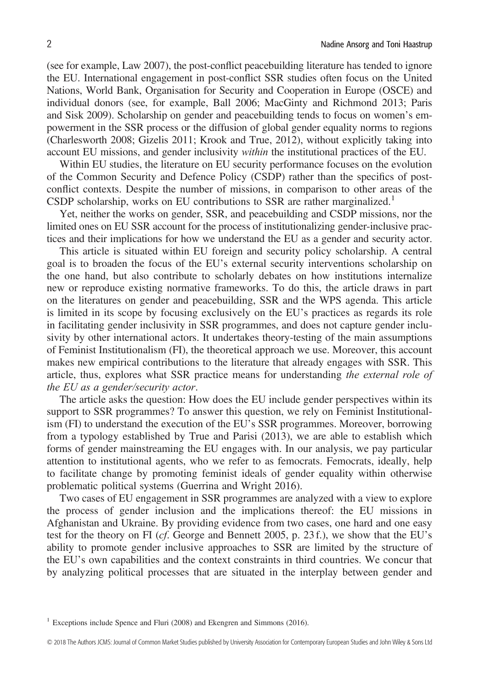(see for example, Law 2007), the post-conflict peacebuilding literature has tended to ignore the EU. International engagement in post-conflict SSR studies often focus on the United Nations, World Bank, Organisation for Security and Cooperation in Europe (OSCE) and individual donors (see, for example, Ball 2006; MacGinty and Richmond 2013; Paris and Sisk 2009). Scholarship on gender and peacebuilding tends to focus on women's empowerment in the SSR process or the diffusion of global gender equality norms to regions (Charlesworth 2008; Gizelis 2011; Krook and True, 2012), without explicitly taking into account EU missions, and gender inclusivity *within* the institutional practices of the EU.

Within EU studies, the literature on EU security performance focuses on the evolution of the Common Security and Defence Policy (CSDP) rather than the specifics of postconflict contexts. Despite the number of missions, in comparison to other areas of the CSDP scholarship, works on EU contributions to SSR are rather marginalized.<sup>1</sup>

Yet, neither the works on gender, SSR, and peacebuilding and CSDP missions, nor the limited ones on EU SSR account for the process of institutionalizing gender-inclusive practices and their implications for how we understand the EU as a gender and security actor.

This article is situated within EU foreign and security policy scholarship. A central goal is to broaden the focus of the EU's external security interventions scholarship on the one hand, but also contribute to scholarly debates on how institutions internalize new or reproduce existing normative frameworks. To do this, the article draws in part on the literatures on gender and peacebuilding, SSR and the WPS agenda. This article is limited in its scope by focusing exclusively on the EU's practices as regards its role in facilitating gender inclusivity in SSR programmes, and does not capture gender inclusivity by other international actors. It undertakes theory-testing of the main assumptions of Feminist Institutionalism (FI), the theoretical approach we use. Moreover, this account makes new empirical contributions to the literature that already engages with SSR. This article, thus, explores what SSR practice means for understanding *the external role of the EU as a gender/security actor*.

The article asks the question: How does the EU include gender perspectives within its support to SSR programmes? To answer this question, we rely on Feminist Institutionalism (FI) to understand the execution of the EU's SSR programmes. Moreover, borrowing from a typology established by True and Parisi (2013), we are able to establish which forms of gender mainstreaming the EU engages with. In our analysis, we pay particular attention to institutional agents, who we refer to as femocrats. Femocrats, ideally, help to facilitate change by promoting feminist ideals of gender equality within otherwise problematic political systems (Guerrina and Wright 2016).

Two cases of EU engagement in SSR programmes are analyzed with a view to explore the process of gender inclusion and the implications thereof: the EU missions in Afghanistan and Ukraine. By providing evidence from two cases, one hard and one easy test for the theory on FI (*cf*. George and Bennett 2005, p. 23 f.), we show that the EU's ability to promote gender inclusive approaches to SSR are limited by the structure of the EU's own capabilities and the context constraints in third countries. We concur that by analyzing political processes that are situated in the interplay between gender and

<sup>&</sup>lt;sup>1</sup> Exceptions include Spence and Fluri (2008) and Ekengren and Simmons (2016).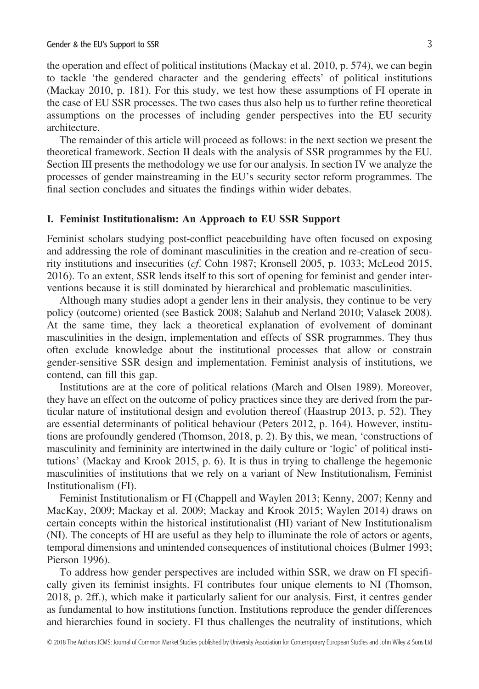the operation and effect of political institutions (Mackay et al. 2010, p. 574), we can begin to tackle 'the gendered character and the gendering effects' of political institutions (Mackay 2010, p. 181). For this study, we test how these assumptions of FI operate in the case of EU SSR processes. The two cases thus also help us to further refine theoretical assumptions on the processes of including gender perspectives into the EU security architecture.

The remainder of this article will proceed as follows: in the next section we present the theoretical framework. Section II deals with the analysis of SSR programmes by the EU. Section III presents the methodology we use for our analysis. In section IV we analyze the processes of gender mainstreaming in the EU's security sector reform programmes. The final section concludes and situates the findings within wider debates.

#### I. Feminist Institutionalism: An Approach to EU SSR Support

Feminist scholars studying post-conflict peacebuilding have often focused on exposing and addressing the role of dominant masculinities in the creation and re-creation of security institutions and insecurities (*cf*. Cohn 1987; Kronsell 2005, p. 1033; McLeod 2015, 2016). To an extent, SSR lends itself to this sort of opening for feminist and gender interventions because it is still dominated by hierarchical and problematic masculinities.

Although many studies adopt a gender lens in their analysis, they continue to be very policy (outcome) oriented (see Bastick 2008; Salahub and Nerland 2010; Valasek 2008). At the same time, they lack a theoretical explanation of evolvement of dominant masculinities in the design, implementation and effects of SSR programmes. They thus often exclude knowledge about the institutional processes that allow or constrain gender-sensitive SSR design and implementation. Feminist analysis of institutions, we contend, can fill this gap.

Institutions are at the core of political relations (March and Olsen 1989). Moreover, they have an effect on the outcome of policy practices since they are derived from the particular nature of institutional design and evolution thereof (Haastrup 2013, p. 52). They are essential determinants of political behaviour (Peters 2012, p. 164). However, institutions are profoundly gendered (Thomson, 2018, p. 2). By this, we mean, 'constructions of masculinity and femininity are intertwined in the daily culture or 'logic' of political institutions' (Mackay and Krook 2015, p. 6). It is thus in trying to challenge the hegemonic masculinities of institutions that we rely on a variant of New Institutionalism, Feminist Institutionalism (FI).

Feminist Institutionalism or FI (Chappell and Waylen 2013; Kenny, 2007; Kenny and MacKay, 2009; Mackay et al. 2009; Mackay and Krook 2015; Waylen 2014) draws on certain concepts within the historical institutionalist (HI) variant of New Institutionalism (NI). The concepts of HI are useful as they help to illuminate the role of actors or agents, temporal dimensions and unintended consequences of institutional choices (Bulmer 1993; Pierson 1996).

To address how gender perspectives are included within SSR, we draw on FI specifically given its feminist insights. FI contributes four unique elements to NI (Thomson, 2018, p. 2ff.), which make it particularly salient for our analysis. First, it centres gender as fundamental to how institutions function. Institutions reproduce the gender differences and hierarchies found in society. FI thus challenges the neutrality of institutions, which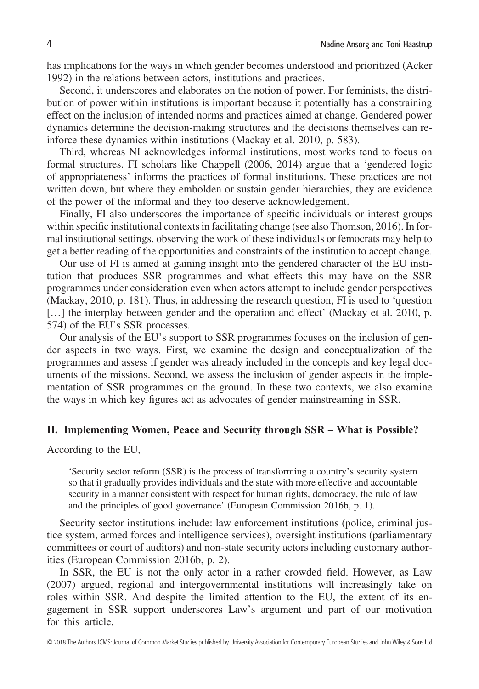has implications for the ways in which gender becomes understood and prioritized (Acker 1992) in the relations between actors, institutions and practices.

Second, it underscores and elaborates on the notion of power. For feminists, the distribution of power within institutions is important because it potentially has a constraining effect on the inclusion of intended norms and practices aimed at change. Gendered power dynamics determine the decision-making structures and the decisions themselves can reinforce these dynamics within institutions (Mackay et al. 2010, p. 583).

Third, whereas NI acknowledges informal institutions, most works tend to focus on formal structures. FI scholars like Chappell (2006, 2014) argue that a 'gendered logic of appropriateness' informs the practices of formal institutions. These practices are not written down, but where they embolden or sustain gender hierarchies, they are evidence of the power of the informal and they too deserve acknowledgement.

Finally, FI also underscores the importance of specific individuals or interest groups within specific institutional contexts in facilitating change (see also Thomson, 2016). In formal institutional settings, observing the work of these individuals or femocrats may help to get a better reading of the opportunities and constraints of the institution to accept change.

Our use of FI is aimed at gaining insight into the gendered character of the EU institution that produces SSR programmes and what effects this may have on the SSR programmes under consideration even when actors attempt to include gender perspectives (Mackay, 2010, p. 181). Thus, in addressing the research question, FI is used to 'question [...] the interplay between gender and the operation and effect' (Mackay et al. 2010, p. 574) of the EU's SSR processes.

Our analysis of the EU's support to SSR programmes focuses on the inclusion of gender aspects in two ways. First, we examine the design and conceptualization of the programmes and assess if gender was already included in the concepts and key legal documents of the missions. Second, we assess the inclusion of gender aspects in the implementation of SSR programmes on the ground. In these two contexts, we also examine the ways in which key figures act as advocates of gender mainstreaming in SSR.

#### II. Implementing Women, Peace and Security through SSR – What is Possible?

According to the EU,

'Security sector reform (SSR) is the process of transforming a country's security system so that it gradually provides individuals and the state with more effective and accountable security in a manner consistent with respect for human rights, democracy, the rule of law and the principles of good governance' (European Commission 2016b, p. 1).

Security sector institutions include: law enforcement institutions (police, criminal justice system, armed forces and intelligence services), oversight institutions (parliamentary committees or court of auditors) and non-state security actors including customary authorities (European Commission 2016b, p. 2).

In SSR, the EU is not the only actor in a rather crowded field. However, as Law (2007) argued, regional and intergovernmental institutions will increasingly take on roles within SSR. And despite the limited attention to the EU, the extent of its engagement in SSR support underscores Law's argument and part of our motivation for this article.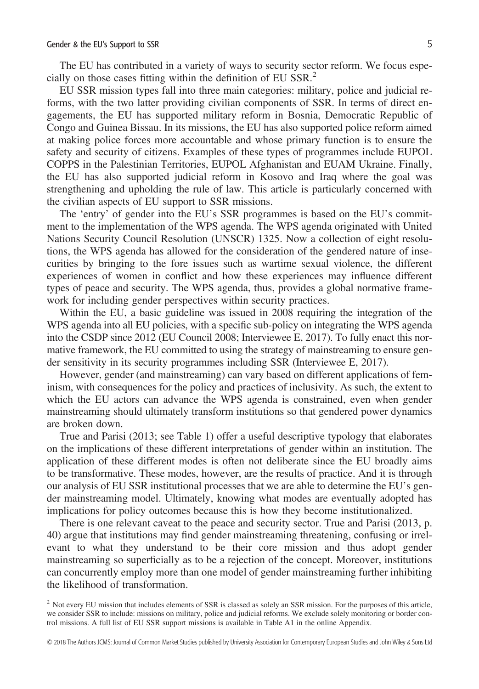The EU has contributed in a variety of ways to security sector reform. We focus especially on those cases fitting within the definition of EU  $SSR<sup>2</sup>$ .

EU SSR mission types fall into three main categories: military, police and judicial reforms, with the two latter providing civilian components of SSR. In terms of direct engagements, the EU has supported military reform in Bosnia, Democratic Republic of Congo and Guinea Bissau. In its missions, the EU has also supported police reform aimed at making police forces more accountable and whose primary function is to ensure the safety and security of citizens. Examples of these types of programmes include EUPOL COPPS in the Palestinian Territories, EUPOL Afghanistan and EUAM Ukraine. Finally, the EU has also supported judicial reform in Kosovo and Iraq where the goal was strengthening and upholding the rule of law. This article is particularly concerned with the civilian aspects of EU support to SSR missions.

The 'entry' of gender into the EU's SSR programmes is based on the EU's commitment to the implementation of the WPS agenda. The WPS agenda originated with United Nations Security Council Resolution (UNSCR) 1325. Now a collection of eight resolutions, the WPS agenda has allowed for the consideration of the gendered nature of insecurities by bringing to the fore issues such as wartime sexual violence, the different experiences of women in conflict and how these experiences may influence different types of peace and security. The WPS agenda, thus, provides a global normative framework for including gender perspectives within security practices.

Within the EU, a basic guideline was issued in 2008 requiring the integration of the WPS agenda into all EU policies, with a specific sub-policy on integrating the WPS agenda into the CSDP since 2012 (EU Council 2008; Interviewee E, 2017). To fully enact this normative framework, the EU committed to using the strategy of mainstreaming to ensure gender sensitivity in its security programmes including SSR (Interviewee E, 2017).

However, gender (and mainstreaming) can vary based on different applications of feminism, with consequences for the policy and practices of inclusivity. As such, the extent to which the EU actors can advance the WPS agenda is constrained, even when gender mainstreaming should ultimately transform institutions so that gendered power dynamics are broken down.

True and Parisi (2013; see Table 1) offer a useful descriptive typology that elaborates on the implications of these different interpretations of gender within an institution. The application of these different modes is often not deliberate since the EU broadly aims to be transformative. These modes, however, are the results of practice. And it is through our analysis of EU SSR institutional processes that we are able to determine the EU's gender mainstreaming model. Ultimately, knowing what modes are eventually adopted has implications for policy outcomes because this is how they become institutionalized.

There is one relevant caveat to the peace and security sector. True and Parisi (2013, p. 40) argue that institutions may find gender mainstreaming threatening, confusing or irrelevant to what they understand to be their core mission and thus adopt gender mainstreaming so superficially as to be a rejection of the concept. Moreover, institutions can concurrently employ more than one model of gender mainstreaming further inhibiting the likelihood of transformation.

<sup>&</sup>lt;sup>2</sup> Not every EU mission that includes elements of SSR is classed as solely an SSR mission. For the purposes of this article, we consider SSR to include: missions on military, police and judicial reforms. We exclude solely monitoring or border control missions. A full list of EU SSR support missions is available in Table A1 in the online Appendix.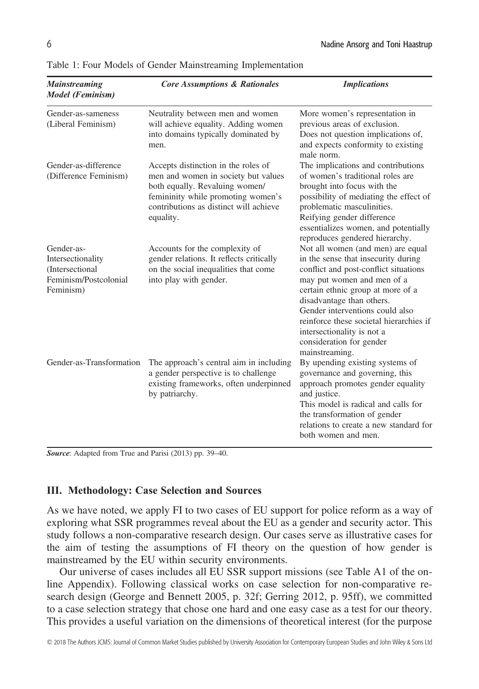| <b>Mainstreaming</b><br><b>Model</b> (Feminism)                                           | <b>Core Assumptions &amp; Rationales</b>                                                                                                                                                                  | <b>Implications</b>                                                                                                                                                                                                                                                                                                                                                         |
|-------------------------------------------------------------------------------------------|-----------------------------------------------------------------------------------------------------------------------------------------------------------------------------------------------------------|-----------------------------------------------------------------------------------------------------------------------------------------------------------------------------------------------------------------------------------------------------------------------------------------------------------------------------------------------------------------------------|
| Gender-as-sameness<br>(Liberal Feminism)                                                  | Neutrality between men and women<br>will achieve equality. Adding women<br>into domains typically dominated by<br>men.                                                                                    | More women's representation in<br>previous areas of exclusion.<br>Does not question implications of,<br>and expects conformity to existing<br>male norm.                                                                                                                                                                                                                    |
| Gender-as-difference<br>(Difference Feminism)                                             | Accepts distinction in the roles of<br>men and women in society but values<br>both equally. Revaluing women/<br>femininity while promoting women's<br>contributions as distinct will achieve<br>equality. | The implications and contributions<br>of women's traditional roles are<br>brought into focus with the<br>possibility of mediating the effect of<br>problematic masculinities.<br>Reifying gender difference<br>essentializes women, and potentially<br>reproduces gendered hierarchy.                                                                                       |
| Gender-as-<br>Intersectionality<br>(Intersectional)<br>Feminism/Postcolonial<br>Feminism) | Accounts for the complexity of<br>gender relations. It reflects critically<br>on the social inequalities that come<br>into play with gender.                                                              | Not all women (and men) are equal<br>in the sense that insecurity during<br>conflict and post-conflict situations<br>may put women and men of a<br>certain ethnic group at more of a<br>disadvantage than others.<br>Gender interventions could also<br>reinforce these societal hierarchies if<br>intersectionality is not a<br>consideration for gender<br>mainstreaming. |
| Gender-as-Transformation                                                                  | The approach's central aim in including<br>a gender perspective is to challenge<br>existing frameworks, often underpinned<br>by patriarchy.                                                               | By upending existing systems of<br>governance and governing, this<br>approach promotes gender equality<br>and justice.<br>This model is radical and calls for<br>the transformation of gender<br>relations to create a new standard for<br>both women and men.                                                                                                              |

Table 1: Four Models of Gender Mainstreaming Implementation

Source: Adapted from True and Parisi (2013) pp. 39–40.

## III. Methodology: Case Selection and Sources

As we have noted, we apply FI to two cases of EU support for police reform as a way of exploring what SSR programmes reveal about the EU as a gender and security actor. This study follows a non-comparative research design. Our cases serve as illustrative cases for the aim of testing the assumptions of FI theory on the question of how gender is mainstreamed by the EU within security environments.

Our universe of cases includes all EU SSR support missions (see Table A1 of the online Appendix). Following classical works on case selection for non-comparative research design (George and Bennett 2005, p. 32f; Gerring 2012, p. 95ff), we committed to a case selection strategy that chose one hard and one easy case as a test for our theory. This provides a useful variation on the dimensions of theoretical interest (for the purpose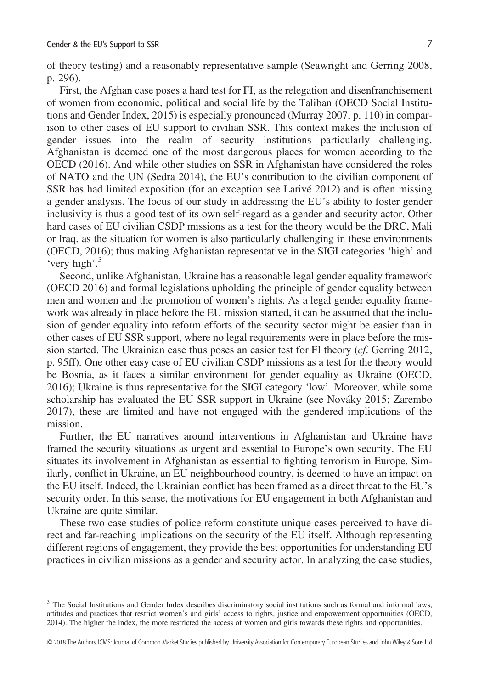of theory testing) and a reasonably representative sample (Seawright and Gerring 2008, p. 296).

First, the Afghan case poses a hard test for FI, as the relegation and disenfranchisement of women from economic, political and social life by the Taliban (OECD Social Institutions and Gender Index, 2015) is especially pronounced (Murray 2007, p. 110) in comparison to other cases of EU support to civilian SSR. This context makes the inclusion of gender issues into the realm of security institutions particularly challenging. Afghanistan is deemed one of the most dangerous places for women according to the OECD (2016). And while other studies on SSR in Afghanistan have considered the roles of NATO and the UN (Sedra 2014), the EU's contribution to the civilian component of SSR has had limited exposition (for an exception see Larivé 2012) and is often missing a gender analysis. The focus of our study in addressing the EU's ability to foster gender inclusivity is thus a good test of its own self-regard as a gender and security actor. Other hard cases of EU civilian CSDP missions as a test for the theory would be the DRC, Mali or Iraq, as the situation for women is also particularly challenging in these environments (OECD, 2016); thus making Afghanistan representative in the SIGI categories 'high' and 'very high'. 3

Second, unlike Afghanistan, Ukraine has a reasonable legal gender equality framework (OECD 2016) and formal legislations upholding the principle of gender equality between men and women and the promotion of women's rights. As a legal gender equality framework was already in place before the EU mission started, it can be assumed that the inclusion of gender equality into reform efforts of the security sector might be easier than in other cases of EU SSR support, where no legal requirements were in place before the mission started. The Ukrainian case thus poses an easier test for FI theory (*cf*. Gerring 2012, p. 95ff). One other easy case of EU civilian CSDP missions as a test for the theory would be Bosnia, as it faces a similar environment for gender equality as Ukraine (OECD, 2016); Ukraine is thus representative for the SIGI category 'low'. Moreover, while some scholarship has evaluated the EU SSR support in Ukraine (see Nováky 2015; Zarembo 2017), these are limited and have not engaged with the gendered implications of the mission.

Further, the EU narratives around interventions in Afghanistan and Ukraine have framed the security situations as urgent and essential to Europe's own security. The EU situates its involvement in Afghanistan as essential to fighting terrorism in Europe. Similarly, conflict in Ukraine, an EU neighbourhood country, is deemed to have an impact on the EU itself. Indeed, the Ukrainian conflict has been framed as a direct threat to the EU's security order. In this sense, the motivations for EU engagement in both Afghanistan and Ukraine are quite similar.

These two case studies of police reform constitute unique cases perceived to have direct and far-reaching implications on the security of the EU itself. Although representing different regions of engagement, they provide the best opportunities for understanding EU practices in civilian missions as a gender and security actor. In analyzing the case studies,

<sup>&</sup>lt;sup>3</sup> The Social Institutions and Gender Index describes discriminatory social institutions such as formal and informal laws, attitudes and practices that restrict women's and girls' access to rights, justice and empowerment opportunities (OECD, 2014). The higher the index, the more restricted the access of women and girls towards these rights and opportunities.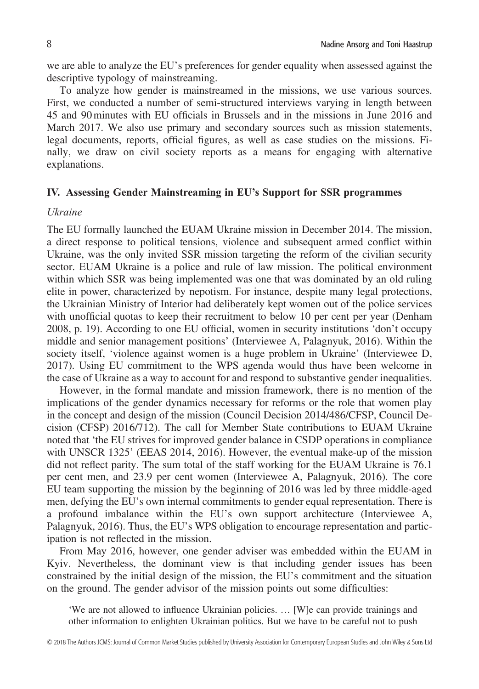we are able to analyze the EU's preferences for gender equality when assessed against the descriptive typology of mainstreaming.

To analyze how gender is mainstreamed in the missions, we use various sources. First, we conducted a number of semi-structured interviews varying in length between 45 and 90 minutes with EU officials in Brussels and in the missions in June 2016 and March 2017. We also use primary and secondary sources such as mission statements, legal documents, reports, official figures, as well as case studies on the missions. Finally, we draw on civil society reports as a means for engaging with alternative explanations.

#### IV. Assessing Gender Mainstreaming in EU's Support for SSR programmes

#### *Ukraine*

The EU formally launched the EUAM Ukraine mission in December 2014. The mission, a direct response to political tensions, violence and subsequent armed conflict within Ukraine, was the only invited SSR mission targeting the reform of the civilian security sector. EUAM Ukraine is a police and rule of law mission. The political environment within which SSR was being implemented was one that was dominated by an old ruling elite in power, characterized by nepotism. For instance, despite many legal protections, the Ukrainian Ministry of Interior had deliberately kept women out of the police services with unofficial quotas to keep their recruitment to below 10 per cent per year (Denham 2008, p. 19). According to one EU official, women in security institutions 'don't occupy middle and senior management positions' (Interviewee A, Palagnyuk, 2016). Within the society itself, 'violence against women is a huge problem in Ukraine' (Interviewee D, 2017). Using EU commitment to the WPS agenda would thus have been welcome in the case of Ukraine as a way to account for and respond to substantive gender inequalities.

However, in the formal mandate and mission framework, there is no mention of the implications of the gender dynamics necessary for reforms or the role that women play in the concept and design of the mission (Council Decision 2014/486/CFSP, Council Decision (CFSP) 2016/712). The call for Member State contributions to EUAM Ukraine noted that 'the EU strives for improved gender balance in CSDP operations in compliance with UNSCR 1325' (EEAS 2014, 2016). However, the eventual make-up of the mission did not reflect parity. The sum total of the staff working for the EUAM Ukraine is 76.1 per cent men, and 23.9 per cent women (Interviewee A, Palagnyuk, 2016). The core EU team supporting the mission by the beginning of 2016 was led by three middle-aged men, defying the EU's own internal commitments to gender equal representation. There is a profound imbalance within the EU's own support architecture (Interviewee A, Palagnyuk, 2016). Thus, the EU's WPS obligation to encourage representation and participation is not reflected in the mission.

From May 2016, however, one gender adviser was embedded within the EUAM in Kyiv. Nevertheless, the dominant view is that including gender issues has been constrained by the initial design of the mission, the EU's commitment and the situation on the ground. The gender advisor of the mission points out some difficulties:

'We are not allowed to influence Ukrainian policies. … [W]e can provide trainings and other information to enlighten Ukrainian politics. But we have to be careful not to push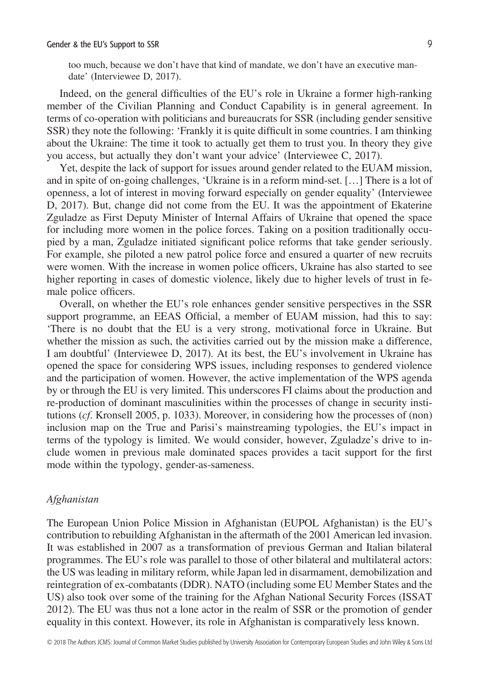too much, because we don't have that kind of mandate, we don't have an executive mandate' (Interviewee D, 2017).

Indeed, on the general difficulties of the EU's role in Ukraine a former high-ranking member of the Civilian Planning and Conduct Capability is in general agreement. In terms of co-operation with politicians and bureaucrats for SSR (including gender sensitive SSR) they note the following: 'Frankly it is quite difficult in some countries. I am thinking about the Ukraine: The time it took to actually get them to trust you. In theory they give you access, but actually they don't want your advice' (Interviewee C, 2017).

Yet, despite the lack of support for issues around gender related to the EUAM mission, and in spite of on-going challenges, 'Ukraine is in a reform mind-set. […] There is a lot of openness, a lot of interest in moving forward especially on gender equality' (Interviewee D, 2017). But, change did not come from the EU. It was the appointment of Ekaterine Zguladze as First Deputy Minister of Internal Affairs of Ukraine that opened the space for including more women in the police forces. Taking on a position traditionally occupied by a man, Zguladze initiated significant police reforms that take gender seriously. For example, she piloted a new patrol police force and ensured a quarter of new recruits were women. With the increase in women police officers, Ukraine has also started to see higher reporting in cases of domestic violence, likely due to higher levels of trust in female police officers.

Overall, on whether the EU's role enhances gender sensitive perspectives in the SSR support programme, an EEAS Official, a member of EUAM mission, had this to say: 'There is no doubt that the EU is a very strong, motivational force in Ukraine. But whether the mission as such, the activities carried out by the mission make a difference, I am doubtful' (Interviewee D, 2017). At its best, the EU's involvement in Ukraine has opened the space for considering WPS issues, including responses to gendered violence and the participation of women. However, the active implementation of the WPS agenda by or through the EU is very limited. This underscores FI claims about the production and re-production of dominant masculinities within the processes of change in security institutions (*cf*. Kronsell 2005, p. 1033). Moreover, in considering how the processes of (non) inclusion map on the True and Parisi's mainstreaming typologies, the EU's impact in terms of the typology is limited. We would consider, however, Zguladze's drive to include women in previous male dominated spaces provides a tacit support for the first mode within the typology, gender-as-sameness.

#### *Afghanistan*

The European Union Police Mission in Afghanistan (EUPOL Afghanistan) is the EU's contribution to rebuilding Afghanistan in the aftermath of the 2001 American led invasion. It was established in 2007 as a transformation of previous German and Italian bilateral programmes. The EU's role was parallel to those of other bilateral and multilateral actors: the US was leading in military reform, while Japan led in disarmament, demobilization and reintegration of ex-combatants (DDR). NATO (including some EU Member States and the US) also took over some of the training for the Afghan National Security Forces (ISSAT 2012). The EU was thus not a lone actor in the realm of SSR or the promotion of gender equality in this context. However, its role in Afghanistan is comparatively less known.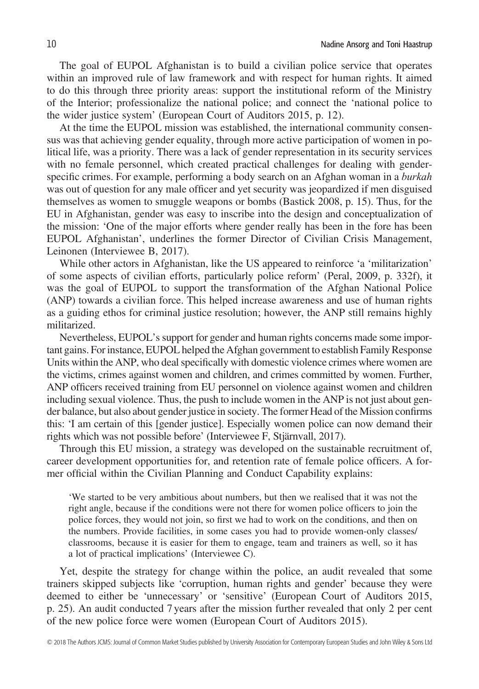The goal of EUPOL Afghanistan is to build a civilian police service that operates within an improved rule of law framework and with respect for human rights. It aimed to do this through three priority areas: support the institutional reform of the Ministry of the Interior; professionalize the national police; and connect the 'national police to the wider justice system' (European Court of Auditors 2015, p. 12).

At the time the EUPOL mission was established, the international community consensus was that achieving gender equality, through more active participation of women in political life, was a priority. There was a lack of gender representation in its security services with no female personnel, which created practical challenges for dealing with genderspecific crimes. For example, performing a body search on an Afghan woman in a *burkah* was out of question for any male officer and yet security was jeopardized if men disguised themselves as women to smuggle weapons or bombs (Bastick 2008, p. 15). Thus, for the EU in Afghanistan, gender was easy to inscribe into the design and conceptualization of the mission: 'One of the major efforts where gender really has been in the fore has been EUPOL Afghanistan', underlines the former Director of Civilian Crisis Management, Leinonen (Interviewee B, 2017).

While other actors in Afghanistan, like the US appeared to reinforce 'a 'militarization' of some aspects of civilian efforts, particularly police reform' (Peral, 2009, p. 332f), it was the goal of EUPOL to support the transformation of the Afghan National Police (ANP) towards a civilian force. This helped increase awareness and use of human rights as a guiding ethos for criminal justice resolution; however, the ANP still remains highly militarized.

Nevertheless, EUPOL's support for gender and human rights concerns made some important gains. For instance, EUPOL helped the Afghan government to establish Family Response Units within the ANP, who deal specifically with domestic violence crimes where women are the victims, crimes against women and children, and crimes committed by women. Further, ANP officers received training from EU personnel on violence against women and children including sexual violence. Thus, the push to include women in the ANP is not just about gender balance, but also about gender justice in society. The former Head of the Mission confirms this: 'I am certain of this [gender justice]. Especially women police can now demand their rights which was not possible before' (Interviewee F, Stjärnvall, 2017).

Through this EU mission, a strategy was developed on the sustainable recruitment of, career development opportunities for, and retention rate of female police officers. A former official within the Civilian Planning and Conduct Capability explains:

'We started to be very ambitious about numbers, but then we realised that it was not the right angle, because if the conditions were not there for women police officers to join the police forces, they would not join, so first we had to work on the conditions, and then on the numbers. Provide facilities, in some cases you had to provide women-only classes/ classrooms, because it is easier for them to engage, team and trainers as well, so it has a lot of practical implications' (Interviewee C).

Yet, despite the strategy for change within the police, an audit revealed that some trainers skipped subjects like 'corruption, human rights and gender' because they were deemed to either be 'unnecessary' or 'sensitive' (European Court of Auditors 2015, p. 25). An audit conducted 7 years after the mission further revealed that only 2 per cent of the new police force were women (European Court of Auditors 2015).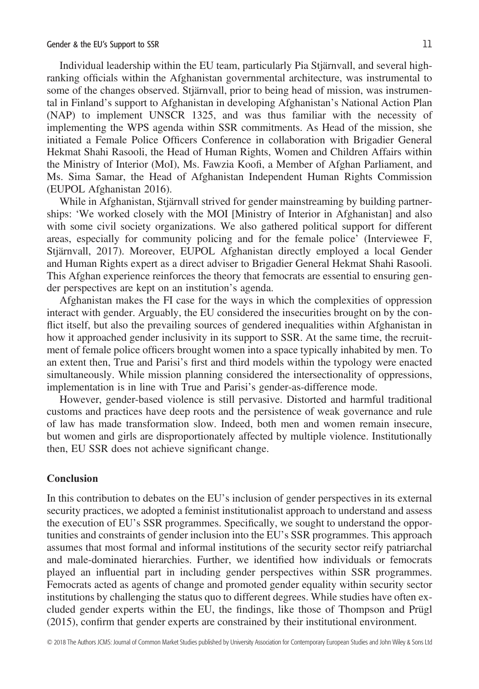Individual leadership within the EU team, particularly Pia Stjärnvall, and several highranking officials within the Afghanistan governmental architecture, was instrumental to some of the changes observed. Stjärnvall, prior to being head of mission, was instrumental in Finland's support to Afghanistan in developing Afghanistan's National Action Plan (NAP) to implement UNSCR 1325, and was thus familiar with the necessity of implementing the WPS agenda within SSR commitments. As Head of the mission, she initiated a Female Police Officers Conference in collaboration with Brigadier General Hekmat Shahi Rasooli, the Head of Human Rights, Women and Children Affairs within the Ministry of Interior (MoI), Ms. Fawzia Koofi, a Member of Afghan Parliament, and Ms. Sima Samar, the Head of Afghanistan Independent Human Rights Commission (EUPOL Afghanistan 2016).

While in Afghanistan, Stjärnvall strived for gender mainstreaming by building partnerships: 'We worked closely with the MOI [Ministry of Interior in Afghanistan] and also with some civil society organizations. We also gathered political support for different areas, especially for community policing and for the female police' (Interviewee F, Stjärnvall, 2017). Moreover, EUPOL Afghanistan directly employed a local Gender and Human Rights expert as a direct adviser to Brigadier General Hekmat Shahi Rasooli. This Afghan experience reinforces the theory that femocrats are essential to ensuring gender perspectives are kept on an institution's agenda.

Afghanistan makes the FI case for the ways in which the complexities of oppression interact with gender. Arguably, the EU considered the insecurities brought on by the conflict itself, but also the prevailing sources of gendered inequalities within Afghanistan in how it approached gender inclusivity in its support to SSR. At the same time, the recruitment of female police officers brought women into a space typically inhabited by men. To an extent then, True and Parisi's first and third models within the typology were enacted simultaneously. While mission planning considered the intersectionality of oppressions, implementation is in line with True and Parisi's gender-as-difference mode.

However, gender-based violence is still pervasive. Distorted and harmful traditional customs and practices have deep roots and the persistence of weak governance and rule of law has made transformation slow. Indeed, both men and women remain insecure, but women and girls are disproportionately affected by multiple violence. Institutionally then, EU SSR does not achieve significant change.

#### **Conclusion**

In this contribution to debates on the EU's inclusion of gender perspectives in its external security practices, we adopted a feminist institutionalist approach to understand and assess the execution of EU's SSR programmes. Specifically, we sought to understand the opportunities and constraints of gender inclusion into the EU's SSR programmes. This approach assumes that most formal and informal institutions of the security sector reify patriarchal and male-dominated hierarchies. Further, we identified how individuals or femocrats played an influential part in including gender perspectives within SSR programmes. Femocrats acted as agents of change and promoted gender equality within security sector institutions by challenging the status quo to different degrees. While studies have often excluded gender experts within the EU, the findings, like those of Thompson and Prügl (2015), confirm that gender experts are constrained by their institutional environment.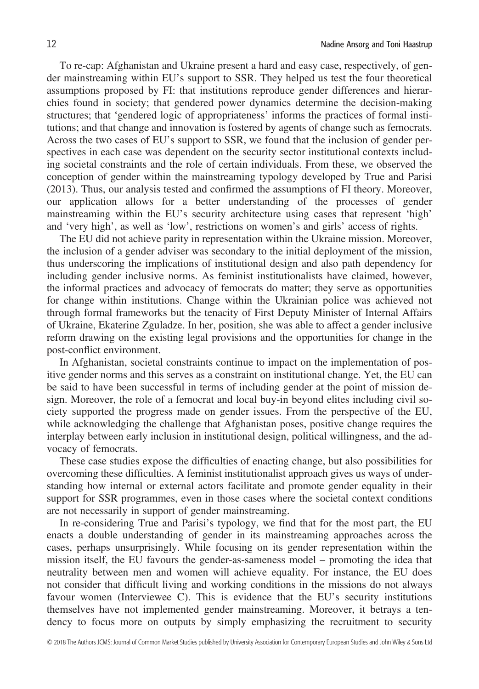To re-cap: Afghanistan and Ukraine present a hard and easy case, respectively, of gender mainstreaming within EU's support to SSR. They helped us test the four theoretical assumptions proposed by FI: that institutions reproduce gender differences and hierarchies found in society; that gendered power dynamics determine the decision-making structures; that 'gendered logic of appropriateness' informs the practices of formal institutions; and that change and innovation is fostered by agents of change such as femocrats. Across the two cases of EU's support to SSR, we found that the inclusion of gender perspectives in each case was dependent on the security sector institutional contexts including societal constraints and the role of certain individuals. From these, we observed the conception of gender within the mainstreaming typology developed by True and Parisi (2013). Thus, our analysis tested and confirmed the assumptions of FI theory. Moreover, our application allows for a better understanding of the processes of gender mainstreaming within the EU's security architecture using cases that represent 'high' and 'very high', as well as 'low', restrictions on women's and girls' access of rights.

The EU did not achieve parity in representation within the Ukraine mission. Moreover, the inclusion of a gender adviser was secondary to the initial deployment of the mission, thus underscoring the implications of institutional design and also path dependency for including gender inclusive norms. As feminist institutionalists have claimed, however, the informal practices and advocacy of femocrats do matter; they serve as opportunities for change within institutions. Change within the Ukrainian police was achieved not through formal frameworks but the tenacity of First Deputy Minister of Internal Affairs of Ukraine, Ekaterine Zguladze. In her, position, she was able to affect a gender inclusive reform drawing on the existing legal provisions and the opportunities for change in the post-conflict environment.

In Afghanistan, societal constraints continue to impact on the implementation of positive gender norms and this serves as a constraint on institutional change. Yet, the EU can be said to have been successful in terms of including gender at the point of mission design. Moreover, the role of a femocrat and local buy-in beyond elites including civil society supported the progress made on gender issues. From the perspective of the EU, while acknowledging the challenge that Afghanistan poses, positive change requires the interplay between early inclusion in institutional design, political willingness, and the advocacy of femocrats.

These case studies expose the difficulties of enacting change, but also possibilities for overcoming these difficulties. A feminist institutionalist approach gives us ways of understanding how internal or external actors facilitate and promote gender equality in their support for SSR programmes, even in those cases where the societal context conditions are not necessarily in support of gender mainstreaming.

In re-considering True and Parisi's typology, we find that for the most part, the EU enacts a double understanding of gender in its mainstreaming approaches across the cases, perhaps unsurprisingly. While focusing on its gender representation within the mission itself, the EU favours the gender-as-sameness model – promoting the idea that neutrality between men and women will achieve equality. For instance, the EU does not consider that difficult living and working conditions in the missions do not always favour women (Interviewee C). This is evidence that the EU's security institutions themselves have not implemented gender mainstreaming. Moreover, it betrays a tendency to focus more on outputs by simply emphasizing the recruitment to security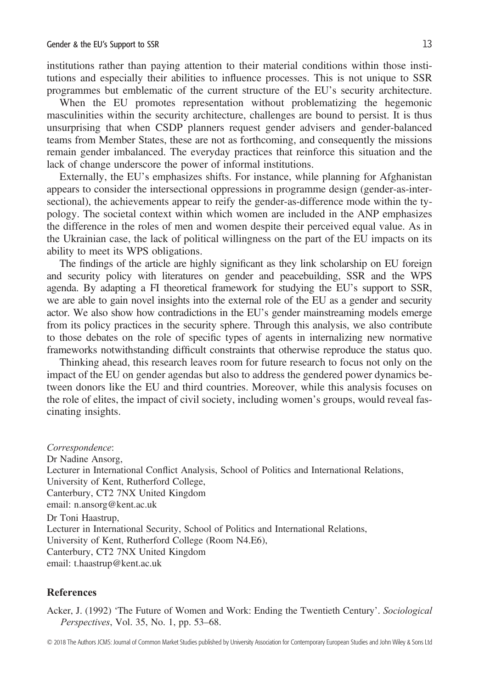institutions rather than paying attention to their material conditions within those institutions and especially their abilities to influence processes. This is not unique to SSR programmes but emblematic of the current structure of the EU's security architecture.

When the EU promotes representation without problematizing the hegemonic masculinities within the security architecture, challenges are bound to persist. It is thus unsurprising that when CSDP planners request gender advisers and gender-balanced teams from Member States, these are not as forthcoming, and consequently the missions remain gender imbalanced. The everyday practices that reinforce this situation and the lack of change underscore the power of informal institutions.

Externally, the EU's emphasizes shifts. For instance, while planning for Afghanistan appears to consider the intersectional oppressions in programme design (gender-as-intersectional), the achievements appear to reify the gender-as-difference mode within the typology. The societal context within which women are included in the ANP emphasizes the difference in the roles of men and women despite their perceived equal value. As in the Ukrainian case, the lack of political willingness on the part of the EU impacts on its ability to meet its WPS obligations.

The findings of the article are highly significant as they link scholarship on EU foreign and security policy with literatures on gender and peacebuilding, SSR and the WPS agenda. By adapting a FI theoretical framework for studying the EU's support to SSR, we are able to gain novel insights into the external role of the EU as a gender and security actor. We also show how contradictions in the EU's gender mainstreaming models emerge from its policy practices in the security sphere. Through this analysis, we also contribute to those debates on the role of specific types of agents in internalizing new normative frameworks notwithstanding difficult constraints that otherwise reproduce the status quo.

Thinking ahead, this research leaves room for future research to focus not only on the impact of the EU on gender agendas but also to address the gendered power dynamics between donors like the EU and third countries. Moreover, while this analysis focuses on the role of elites, the impact of civil society, including women's groups, would reveal fascinating insights.

*Correspondence*: Dr Nadine Ansorg, Lecturer in International Conflict Analysis, School of Politics and International Relations, University of Kent, Rutherford College, Canterbury, CT2 7NX United Kingdom email: n.ansorg@kent.ac.uk Dr Toni Haastrup, Lecturer in International Security, School of Politics and International Relations, University of Kent, Rutherford College (Room N4.E6), Canterbury, CT2 7NX United Kingdom email: t.haastrup@kent.ac.uk

#### References

Acker, J. (1992) 'The Future of Women and Work: Ending the Twentieth Century'. *Sociological Perspectives*, Vol. 35, No. 1, pp. 53–68.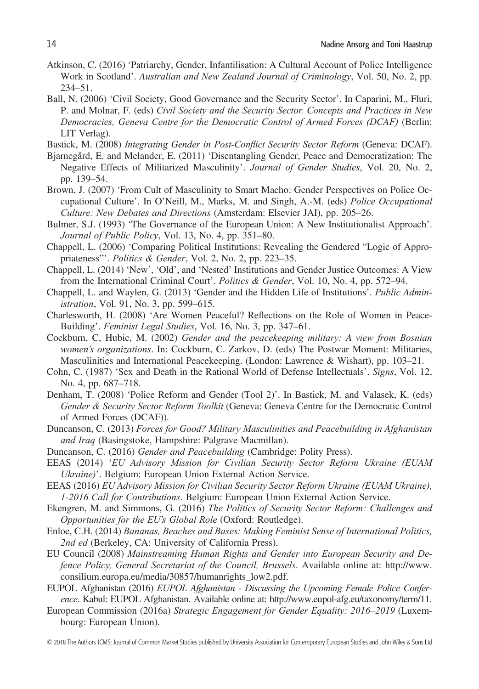- Atkinson, C. (2016) 'Patriarchy, Gender, Infantilisation: A Cultural Account of Police Intelligence Work in Scotland'. *Australian and New Zealand Journal of Criminology*, Vol. 50, No. 2, pp. 234–51.
- Ball, N. (2006) 'Civil Society, Good Governance and the Security Sector'. In Caparini, M., Fluri, P. and Molnar, F. (eds) *Civil Society and the Security Sector. Concepts and Practices in New Democracies, Geneva Centre for the Democratic Control of Armed Forces (DCAF)* (Berlin: LIT Verlag).
- Bastick, M. (2008) *Integrating Gender in Post-Con*fl*ict Security Sector Reform* (Geneva: DCAF).
- Bjarnegård, E. and Melander, E. (2011) 'Disentangling Gender, Peace and Democratization: The Negative Effects of Militarized Masculinity'. *Journal of Gender Studies*, Vol. 20, No. 2, pp. 139–54.
- Brown, J. (2007) 'From Cult of Masculinity to Smart Macho: Gender Perspectives on Police Occupational Culture'. In O'Neill, M., Marks, M. and Singh, A.-M. (eds) *Police Occupational Culture: New Debates and Directions* (Amsterdam: Elsevier JAI), pp. 205–26.
- Bulmer, S.J. (1993) 'The Governance of the European Union: A New Institutionalist Approach'. *Journal of Public Policy*, Vol. 13, No. 4, pp. 351–80.
- Chappell, L. (2006) 'Comparing Political Institutions: Revealing the Gendered "Logic of Appropriateness"'. *Politics & Gender*, Vol. 2, No. 2, pp. 223–35.
- Chappell, L. (2014) 'New', 'Old', and 'Nested' Institutions and Gender Justice Outcomes: A View from the International Criminal Court'. *Politics & Gender*, Vol. 10, No. 4, pp. 572–94.
- Chappell, L. and Waylen, G. (2013) 'Gender and the Hidden Life of Institutions'. *Public Administration*, Vol. 91, No. 3, pp. 599–615.
- Charlesworth, H. (2008) 'Are Women Peaceful? Reflections on the Role of Women in Peace-Building'. *Feminist Legal Studies*, Vol. 16, No. 3, pp. 347–61.
- Cockburn, C, Hubic, M. (2002) *Gender and the peacekeeping military: A view from Bosnian women*'*s organizations*. In: Cockburn, C. Zarkov, D. (eds) The Postwar Moment: Militaries, Masculinities and International Peacekeeping. (London: Lawrence & Wishart), pp. 103–21.
- Cohn, C. (1987) 'Sex and Death in the Rational World of Defense Intellectuals'. *Signs*, Vol. 12, No. 4, pp. 687–718.
- Denham, T. (2008) 'Police Reform and Gender (Tool 2)'. In Bastick, M. and Valasek, K. (eds) *Gender & Security Sector Reform Toolkit* (Geneva: Geneva Centre for the Democratic Control of Armed Forces (DCAF)).
- Duncanson, C. (2013) *Forces for Good? Military Masculinities and Peacebuilding in Afghanistan and Iraq* (Basingstoke, Hampshire: Palgrave Macmillan).
- Duncanson, C. (2016) *Gender and Peacebuilding* (Cambridge: Polity Press).
- EEAS (2014) '*EU Advisory Mission for Civilian Security Sector Reform Ukraine (EUAM Ukraine)*'. Belgium: European Union External Action Service.
- EEAS (2016) *EU Advisory Mission for Civilian Security Sector Reform Ukraine (EUAM Ukraine), 1-2016 Call for Contributions*. Belgium: European Union External Action Service.
- Ekengren, M. and Simmons, G. (2016) *The Politics of Security Sector Reform: Challenges and Opportunities for the EU*'*s Global Role* (Oxford: Routledge).
- Enloe, C.H. (2014) *Bananas, Beaches and Bases: Making Feminist Sense of International Politics, 2nd ed* (Berkeley, CA: University of California Press).
- EU Council (2008) *Mainstreaming Human Rights and Gender into European Security and Defence Policy, General Secretariat of the Council, Brussels*. Available online at: [http://www.](http://www.consilium.europa.eu/media/30857/humanrights_low2.pdf) [consilium.europa.eu/media/30857/humanrights\\_low2.pdf](http://www.consilium.europa.eu/media/30857/humanrights_low2.pdf).
- EUPOL Afghanistan (2016) *EUPOL Afghanistan Discussing the Upcoming Female Police Conference*. Kabul: EUPOL Afghanistan. Available online at: [http://www.eupol-afg.eu/taxonomy/term/11.](http://www.eupol-afg.eu/taxonomy/term/11)
- European Commission (2016a) *Strategic Engagement for Gender Equality: 2016*–*2019* (Luxembourg: European Union).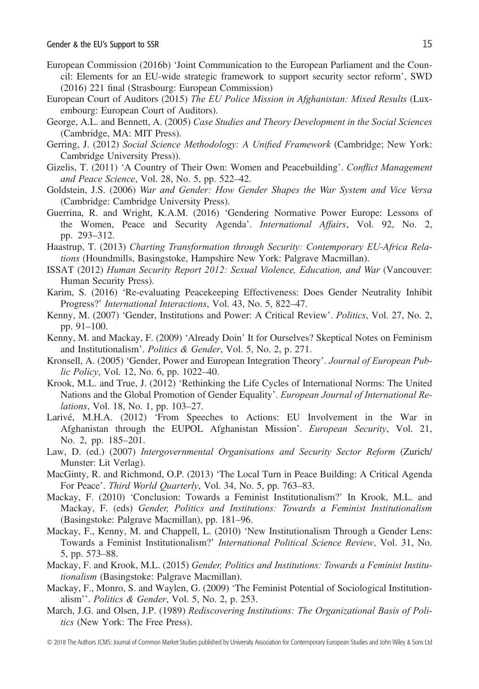- European Commission (2016b) 'Joint Communication to the European Parliament and the Council: Elements for an EU-wide strategic framework to support security sector reform', SWD (2016) 221 final (Strasbourg: European Commission)
- European Court of Auditors (2015) *The EU Police Mission in Afghanistan: Mixed Results* (Luxembourg: European Court of Auditors).
- George, A.L. and Bennett, A. (2005) *Case Studies and Theory Development in the Social Sciences* (Cambridge, MA: MIT Press).
- Gerring, J. (2012) *Social Science Methodology: A Uni*fi*ed Framework* (Cambridge; New York: Cambridge University Press)).
- Gizelis, T. (2011) 'A Country of Their Own: Women and Peacebuilding'. *Con*fl*ict Management and Peace Science*, Vol. 28, No. 5, pp. 522–42.
- Goldstein, J.S. (2006) *War and Gender: How Gender Shapes the War System and Vice Versa* (Cambridge: Cambridge University Press).
- Guerrina, R. and Wright, K.A.M. (2016) 'Gendering Normative Power Europe: Lessons of the Women, Peace and Security Agenda'. *International Affairs*, Vol. 92, No. 2, pp. 293–312.
- Haastrup, T. (2013) *Charting Transformation through Security: Contemporary EU-Africa Relations* (Houndmills, Basingstoke, Hampshire New York: Palgrave Macmillan).
- ISSAT (2012) *Human Security Report 2012: Sexual Violence, Education, and War* (Vancouver: Human Security Press).
- Karim, S. (2016) 'Re-evaluating Peacekeeping Effectiveness: Does Gender Neutrality Inhibit Progress?' *International Interactions*, Vol. 43, No. 5, 822–47.
- Kenny, M. (2007) 'Gender, Institutions and Power: A Critical Review'. *Politics*, Vol. 27, No. 2, pp. 91–100.
- Kenny, M. and Mackay, F. (2009) 'Already Doin' It for Ourselves? Skeptical Notes on Feminism and Institutionalism'. *Politics & Gender*, Vol. 5, No. 2, p. 271.
- Kronsell, A. (2005) 'Gender, Power and European Integration Theory'. *Journal of European Public Policy*, Vol. 12, No. 6, pp. 1022–40.
- Krook, M.L. and True, J. (2012) 'Rethinking the Life Cycles of International Norms: The United Nations and the Global Promotion of Gender Equality'. *European Journal of International Relations*, Vol. 18, No. 1, pp. 103–27.
- Larivé, M.H.A. (2012) 'From Speeches to Actions: EU Involvement in the War in Afghanistan through the EUPOL Afghanistan Mission'. *European Security*, Vol. 21, No. 2, pp. 185–201.
- Law, D. (ed.) (2007) *Intergovernmental Organisations and Security Sector Reform* (Zurich/ Munster: Lit Verlag).
- MacGinty, R. and Richmond, O.P. (2013) 'The Local Turn in Peace Building: A Critical Agenda For Peace'. *Third World Quarterly*, Vol. 34, No. 5, pp. 763–83.
- Mackay, F. (2010) 'Conclusion: Towards a Feminist Institutionalism?' In Krook, M.L. and Mackay, F. (eds) *Gender, Politics and Institutions: Towards a Feminist Institutionalism* (Basingstoke: Palgrave Macmillan), pp. 181–96.
- Mackay, F., Kenny, M. and Chappell, L. (2010) 'New Institutionalism Through a Gender Lens: Towards a Feminist Institutionalism?' *International Political Science Review*, Vol. 31, No. 5, pp. 573–88.
- Mackay, F. and Krook, M.L. (2015) *Gender, Politics and Institutions: Towards a Feminist Institutionalism* (Basingstoke: Palgrave Macmillan).
- Mackay, F., Monro, S. and Waylen, G. (2009) 'The Feminist Potential of Sociological Institutionalism''. *Politics & Gender*, Vol. 5, No. 2, p. 253.
- March, J.G. and Olsen, J.P. (1989) *Rediscovering Institutions: The Organizational Basis of Politics* (New York: The Free Press).

© 2018 The Authors JCMS: Journal of Common Market Studies published by University Association for Contemporary European Studies and John Wiley & Sons Ltd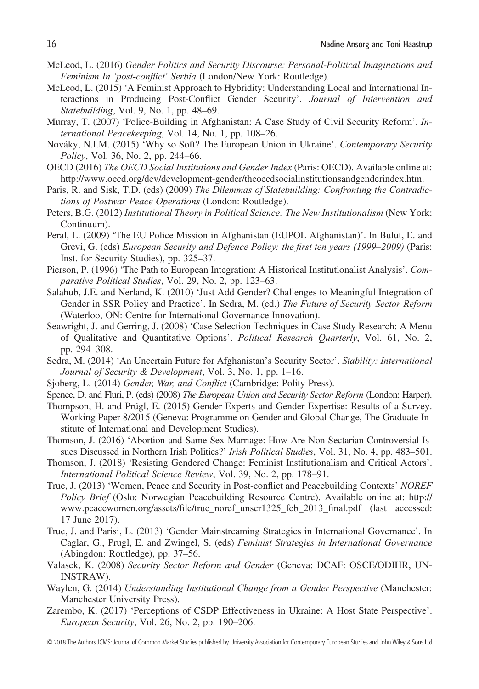- McLeod, L. (2016) *Gender Politics and Security Discourse: Personal-Political Imaginations and Feminism In* '*post-con*fl*ict*' *Serbia* (London/New York: Routledge).
- McLeod, L. (2015) 'A Feminist Approach to Hybridity: Understanding Local and International Interactions in Producing Post-Conflict Gender Security'. *Journal of Intervention and Statebuilding*, Vol. 9, No. 1, pp. 48–69.
- Murray, T. (2007) 'Police-Building in Afghanistan: A Case Study of Civil Security Reform'. *International Peacekeeping*, Vol. 14, No. 1, pp. 108–26.
- Nováky, N.I.M. (2015) 'Why so Soft? The European Union in Ukraine'. *Contemporary Security Policy*, Vol. 36, No. 2, pp. 244–66.
- OECD (2016) *The OECD Social Institutions and Gender Index* (Paris: OECD). Available online at: http://www.oecd.org/dev/development-gender/theoecdsocialinstitutionsandgenderindex.htm.
- Paris, R. and Sisk, T.D. (eds) (2009) *The Dilemmas of Statebuilding: Confronting the Contradictions of Postwar Peace Operations* (London: Routledge).
- Peters, B.G. (2012) *Institutional Theory in Political Science: The New Institutionalism* (New York: Continuum).
- Peral, L. (2009) 'The EU Police Mission in Afghanistan (EUPOL Afghanistan)'. In Bulut, E. and Grevi, G. (eds) *European Security and Defence Policy: the* fi*rst ten years (1999*–*2009)* (Paris: Inst. for Security Studies), pp. 325–37.
- Pierson, P. (1996) 'The Path to European Integration: A Historical Institutionalist Analysis'. *Comparative Political Studies*, Vol. 29, No. 2, pp. 123–63.
- Salahub, J.E. and Nerland, K. (2010) 'Just Add Gender? Challenges to Meaningful Integration of Gender in SSR Policy and Practice'. In Sedra, M. (ed.) *The Future of Security Sector Reform* (Waterloo, ON: Centre for International Governance Innovation).
- Seawright, J. and Gerring, J. (2008) 'Case Selection Techniques in Case Study Research: A Menu of Qualitative and Quantitative Options'. *Political Research Quarterly*, Vol. 61, No. 2, pp. 294–308.
- Sedra, M. (2014) 'An Uncertain Future for Afghanistan's Security Sector'. *Stability: International Journal of Security & Development*, Vol. 3, No. 1, pp. 1–16.
- Sjoberg, L. (2014) *Gender, War, and Con*fl*ict* (Cambridge: Polity Press).
- Spence, D. and Fluri, P. (eds) (2008) *The European Union and Security Sector Reform* (London: Harper).
- Thompson, H. and Prügl, E. (2015) Gender Experts and Gender Expertise: Results of a Survey. Working Paper 8/2015 (Geneva: Programme on Gender and Global Change, The Graduate Institute of International and Development Studies).
- Thomson, J. (2016) 'Abortion and Same-Sex Marriage: How Are Non-Sectarian Controversial Issues Discussed in Northern Irish Politics?' *Irish Political Studies*, Vol. 31, No. 4, pp. 483–501.
- Thomson, J. (2018) 'Resisting Gendered Change: Feminist Institutionalism and Critical Actors'. *International Political Science Review*, Vol. 39, No. 2, pp. 178–91.
- True, J. (2013) 'Women, Peace and Security in Post-conflict and Peacebuilding Contexts' *NOREF Policy Brief* (Oslo: Norwegian Peacebuilding Resource Centre). Available online at: [http://](http://www.peacewomen.org/assets/file/true_noref_unscr1325_feb_2013_final.pdf) www.peacewomen.org/assets/fi[le/true\\_noref\\_unscr1325\\_feb\\_2013\\_](http://www.peacewomen.org/assets/file/true_noref_unscr1325_feb_2013_final.pdf)final.pdf (last accessed: 17 June 2017).
- True, J. and Parisi, L. (2013) 'Gender Mainstreaming Strategies in International Governance'. In Caglar, G., Prugl, E. and Zwingel, S. (eds) *Feminist Strategies in International Governance* (Abingdon: Routledge), pp. 37–56.
- Valasek, K. (2008) *Security Sector Reform and Gender* (Geneva: DCAF: OSCE/ODIHR, UN-INSTRAW).
- Waylen, G. (2014) *Understanding Institutional Change from a Gender Perspective* (Manchester: Manchester University Press).
- Zarembo, K. (2017) 'Perceptions of CSDP Effectiveness in Ukraine: A Host State Perspective'. *European Security*, Vol. 26, No. 2, pp. 190–206.